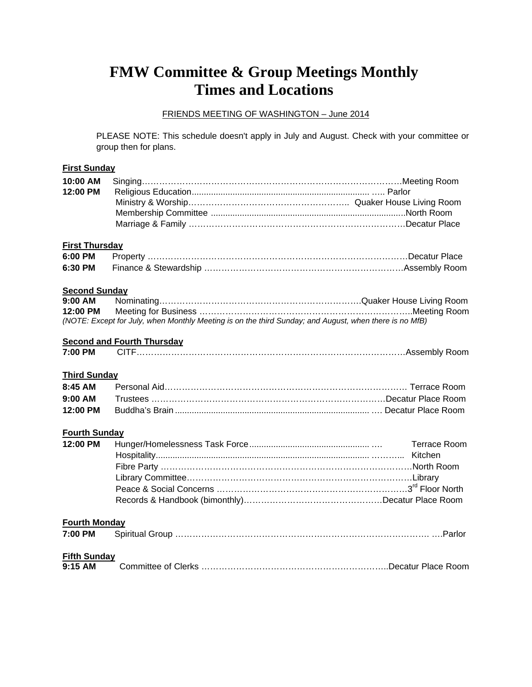# **FMW Committee & Group Meetings Monthly Times and Locations**

#### FRIENDS MEETING OF WASHINGTON – June 2014

PLEASE NOTE: This schedule doesn't apply in July and August. Check with your committee or group then for plans.

# **First Sunday 10:00 AM** Singing………………………………………………………………………………Meeting Room **12:00 PM** Religious Education.......................................................................... ….. Parlor Ministry & Worship……………………………………………….. Quaker House Living Room Membership Committee .................................................................................North Room Marriage & Family …………………………………………………………………Decatur Place **First Thursday 6:00 PM** Property ………………………………………………………………………………Decatur Place **6:30 PM** Finance & Stewardship ……………………………………………………………Assembly Room **Second Sunday 9:00 AM** Nominating…………………………………………………………….Quaker House Living Room **Meeting for Business**

|                      | (NOTE: Except for July, when Monthly Meeting is on the third Sunday; and August, when there is no MfB) |                     |
|----------------------|--------------------------------------------------------------------------------------------------------|---------------------|
|                      | <b>Second and Fourth Thursday</b>                                                                      |                     |
| 7:00 PM              |                                                                                                        |                     |
| <b>Third Sunday</b>  |                                                                                                        |                     |
| $8:45$ AM            |                                                                                                        |                     |
| $9:00$ AM            |                                                                                                        |                     |
| 12:00 PM             |                                                                                                        |                     |
| <b>Fourth Sunday</b> |                                                                                                        |                     |
| 12:00 PM             |                                                                                                        | <b>Terrace Room</b> |
|                      |                                                                                                        |                     |
|                      |                                                                                                        |                     |
|                      |                                                                                                        |                     |
|                      |                                                                                                        |                     |
|                      |                                                                                                        |                     |
| <b>Fourth Monday</b> |                                                                                                        |                     |
| 7:00 PM              |                                                                                                        |                     |
| <b>Fifth Sunday</b>  |                                                                                                        |                     |
| 9:15 AM              |                                                                                                        |                     |